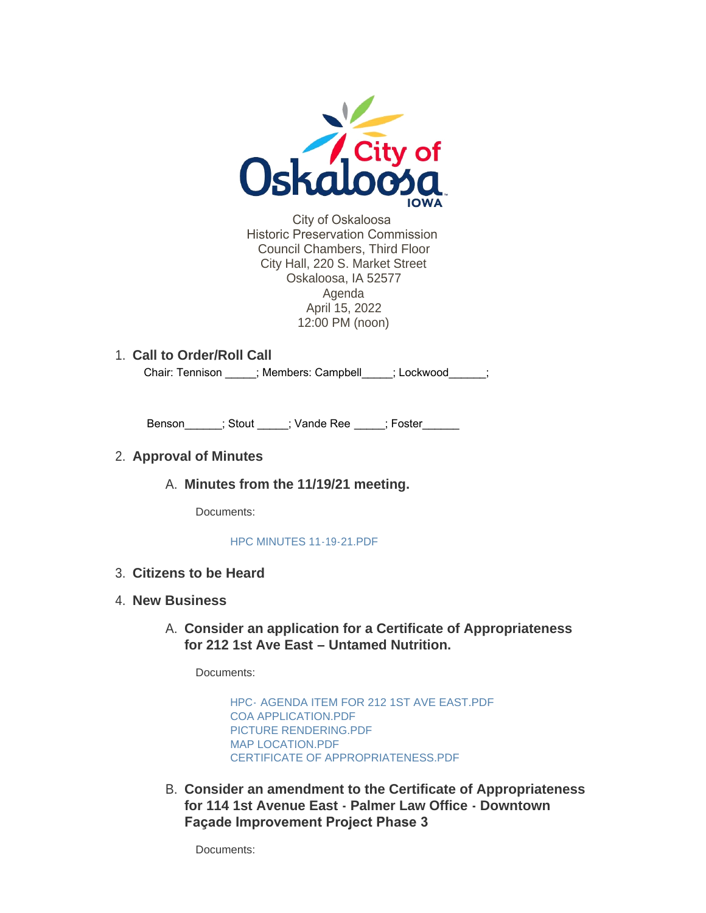

City of Oskaloosa Historic Preservation Commission Council Chambers, Third Floor City Hall, 220 S. Market Street Oskaloosa, IA 52577 Agenda April 15, 2022 12:00 PM (noon)

# **Call to Order/Roll Call** 1.

Chair: Tennison \_\_\_\_\_; Members: Campbell \_\_\_\_\_; Lockwood\_\_\_\_\_;

Benson \_\_\_\_; Stout \_\_\_\_; Vande Ree \_\_\_\_; Foster

#### **Approval of Minutes** 2.

**Minutes from the 11/19/21 meeting.**  A.

Documents:

[HPC MINUTES 11-19-21.PDF](https://www.oskaloosaiowa.org/AgendaCenter/ViewFile/Item/10096?fileID=26463)

**Citizens to be Heard** 3.

#### **New Business** 4.

**Consider an application for a Certificate of Appropriateness**  A. **for 212 1st Ave East – Untamed Nutrition.** 

Documents:

HPC- [AGENDA ITEM FOR 212 1ST AVE EAST.PDF](https://www.oskaloosaiowa.org/AgendaCenter/ViewFile/Item/10097?fileID=26464) [COA APPLICATION.PDF](https://www.oskaloosaiowa.org/AgendaCenter/ViewFile/Item/10097?fileID=26465) [PICTURE RENDERING.PDF](https://www.oskaloosaiowa.org/AgendaCenter/ViewFile/Item/10097?fileID=26466) [MAP LOCATION.PDF](https://www.oskaloosaiowa.org/AgendaCenter/ViewFile/Item/10097?fileID=26467) [CERTIFICATE OF APPROPRIATENESS.PDF](https://www.oskaloosaiowa.org/AgendaCenter/ViewFile/Item/10097?fileID=26468)

**Consider an amendment to the Certificate of Appropriateness**  B. **for 114 1st Avenue East - Palmer Law Office - Downtown Façade Improvement Project Phase 3**

Documents: